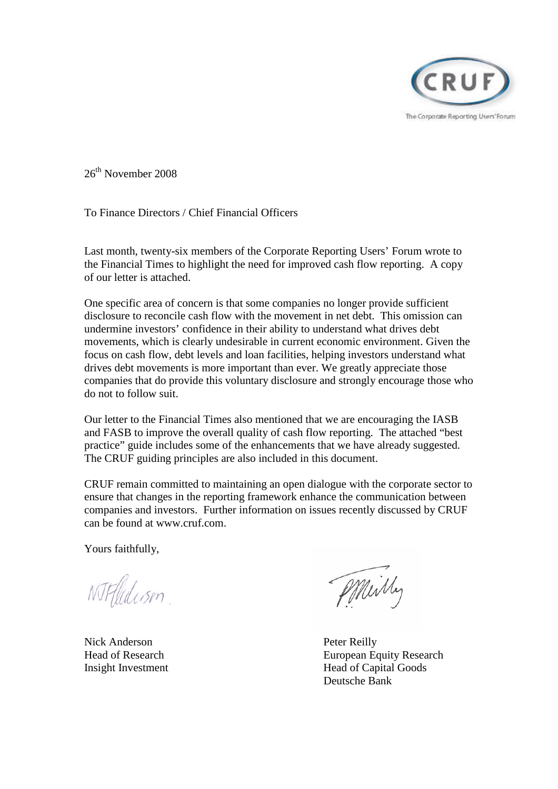

26<sup>th</sup> November 2008

To Finance Directors / Chief Financial Officers

Last month, twenty-six members of the Corporate Reporting Users' Forum wrote to the Financial Times to highlight the need for improved cash flow reporting. A copy of our letter is attached.

One specific area of concern is that some companies no longer provide sufficient disclosure to reconcile cash flow with the movement in net debt. This omission can undermine investors' confidence in their ability to understand what drives debt movements, which is clearly undesirable in current economic environment. Given the focus on cash flow, debt levels and loan facilities, helping investors understand what drives debt movements is more important than ever. We greatly appreciate those companies that do provide this voluntary disclosure and strongly encourage those who do not to follow suit.

Our letter to the Financial Times also mentioned that we are encouraging the IASB and FASB to improve the overall quality of cash flow reporting. The attached "best practice" guide includes some of the enhancements that we have already suggested. The CRUF guiding principles are also included in this document.

CRUF remain committed to maintaining an open dialogue with the corporate sector to ensure that changes in the reporting framework enhance the communication between companies and investors. Further information on issues recently discussed by CRUF can be found at www.cruf.com.

Yours faithfully,

NTFflidism.

Nick Anderson Peter Reilly

Milly

Head of Research European Equity Research Insight Investment Head of Capital Goods Deutsche Bank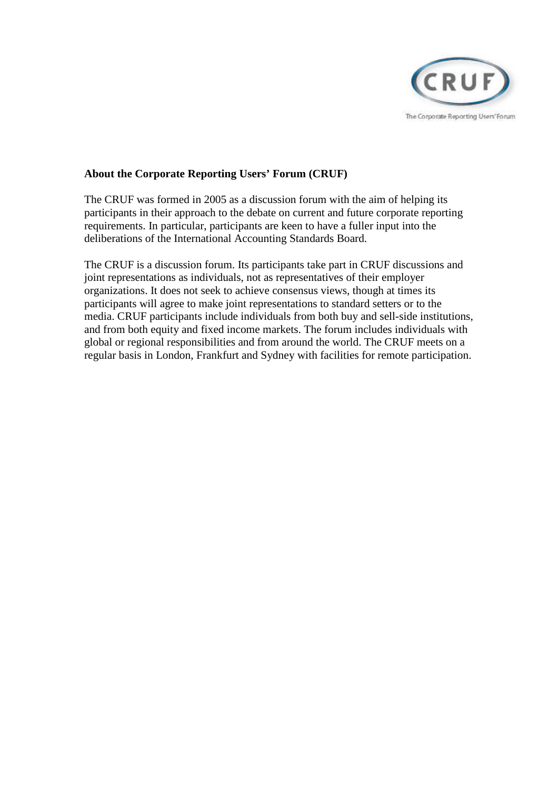

## **About the Corporate Reporting Users' Forum (CRUF)**

The CRUF was formed in 2005 as a discussion forum with the aim of helping its participants in their approach to the debate on current and future corporate reporting requirements. In particular, participants are keen to have a fuller input into the deliberations of the International Accounting Standards Board.

The CRUF is a discussion forum. Its participants take part in CRUF discussions and joint representations as individuals, not as representatives of their employer organizations. It does not seek to achieve consensus views, though at times its participants will agree to make joint representations to standard setters or to the media. CRUF participants include individuals from both buy and sell-side institutions, and from both equity and fixed income markets. The forum includes individuals with global or regional responsibilities and from around the world. The CRUF meets on a regular basis in London, Frankfurt and Sydney with facilities for remote participation.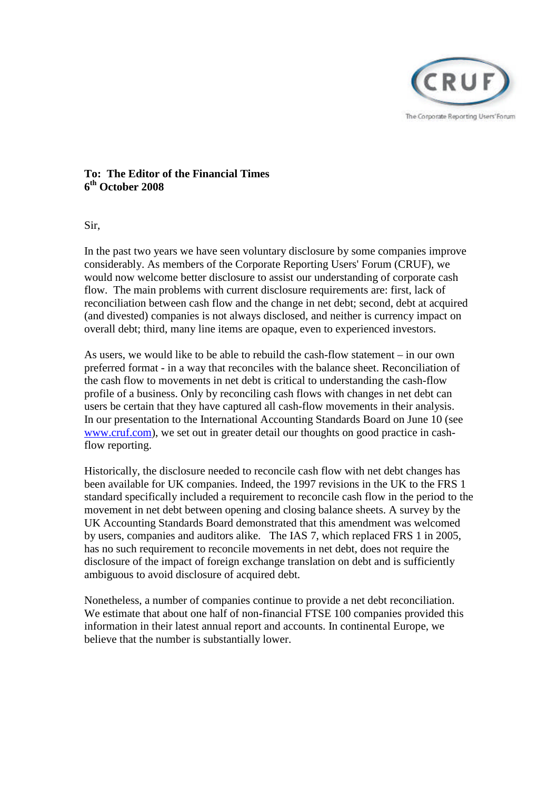

## **To: The Editor of the Financial Times 6 th October 2008**

Sir,

In the past two years we have seen voluntary disclosure by some companies improve considerably. As members of the Corporate Reporting Users' Forum (CRUF), we would now welcome better disclosure to assist our understanding of corporate cash flow. The main problems with current disclosure requirements are: first, lack of reconciliation between cash flow and the change in net debt; second, debt at acquired (and divested) companies is not always disclosed, and neither is currency impact on overall debt; third, many line items are opaque, even to experienced investors.

As users, we would like to be able to rebuild the cash-flow statement – in our own preferred format - in a way that reconciles with the balance sheet. Reconciliation of the cash flow to movements in net debt is critical to understanding the cash-flow profile of a business. Only by reconciling cash flows with changes in net debt can users be certain that they have captured all cash-flow movements in their analysis. In our presentation to the International Accounting Standards Board on June 10 (see [www.cruf.com\)](http://www.cruf.com/), we set out in greater detail our thoughts on good practice in cashflow reporting.

Historically, the disclosure needed to reconcile cash flow with net debt changes has been available for UK companies. Indeed, the 1997 revisions in the UK to the FRS 1 standard specifically included a requirement to reconcile cash flow in the period to the movement in net debt between opening and closing balance sheets. A survey by the UK Accounting Standards Board demonstrated that this amendment was welcomed by users, companies and auditors alike. The IAS 7, which replaced FRS 1 in 2005, has no such requirement to reconcile movements in net debt, does not require the disclosure of the impact of foreign exchange translation on debt and is sufficiently ambiguous to avoid disclosure of acquired debt.

Nonetheless, a number of companies continue to provide a net debt reconciliation. We estimate that about one half of non-financial FTSE 100 companies provided this information in their latest annual report and accounts. In continental Europe, we believe that the number is substantially lower.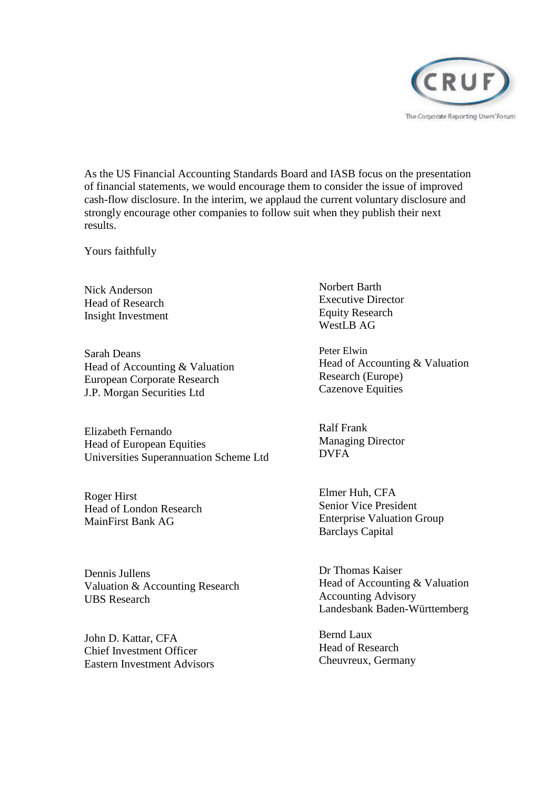

As the US Financial Accounting Standards Board and IASB focus on the presentation of financial statements, we would encourage them to consider the issue of improved cash-flow disclosure. In the interim, we applaud the current voluntary disclosure and strongly encourage other companies to follow suit when they publish their next results.

Yours faithfully

Nick Anderson Head of Research Insight Investment

Sarah Deans Head of Accounting & Valuation European Corporate Research J.P. Morgan Securities Ltd

Elizabeth Fernando Head of European Equities Universities Superannuation Scheme Ltd

Roger Hirst Head of London Research MainFirst Bank AG

Dennis Jullens Valuation & Accounting Research UBS Research

John D. Kattar, CFA Chief Investment Officer Eastern Investment Advisors Norbert Barth Executive Director Equity Research WestLB AG

Peter Elwin Head of Accounting & Valuation Research (Europe) Cazenove Equities

Ralf Frank Managing Director DVFA

Elmer Huh, CFA Senior Vice President Enterprise Valuation Group Barclays Capital

Dr Thomas Kaiser Head of Accounting & Valuation Accounting Advisory Landesbank Baden-Württemberg

Bernd Laux Head of Research Cheuvreux, Germany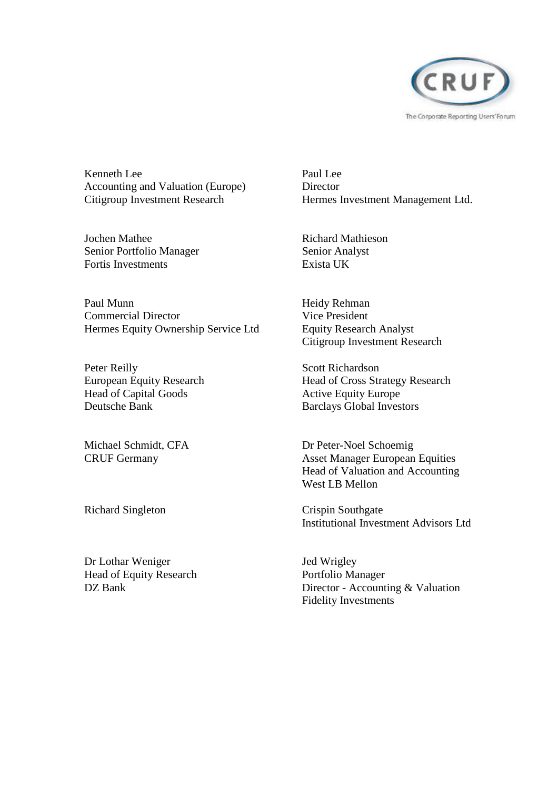

Kenneth Lee Accounting and Valuation (Europe) Citigroup Investment Research

Jochen Mathee Senior Portfolio Manager Fortis Investments

Paul Munn Commercial Director Hermes Equity Ownership Service Ltd

Peter Reilly European Equity Research Head of Capital Goods Deutsche Bank

Michael Schmidt, CFA CRUF Germany

Richard Singleton

Dr Lothar Weniger Head of Equity Research DZ Bank

Paul Lee **Director** Hermes Investment Management Ltd.

Richard Mathieson Senior Analyst Exista UK

Heidy Rehman Vice President Equity Research Analyst Citigroup Investment Research

Scott Richardson Head of Cross Strategy Research Active Equity Europe Barclays Global Investors

Dr Peter-Noel Schoemig Asset Manager European Equities Head of Valuation and Accounting West LB Mellon

Crispin Southgate Institutional Investment Advisors Ltd

Jed Wrigley Portfolio Manager Director - Accounting & Valuation Fidelity Investments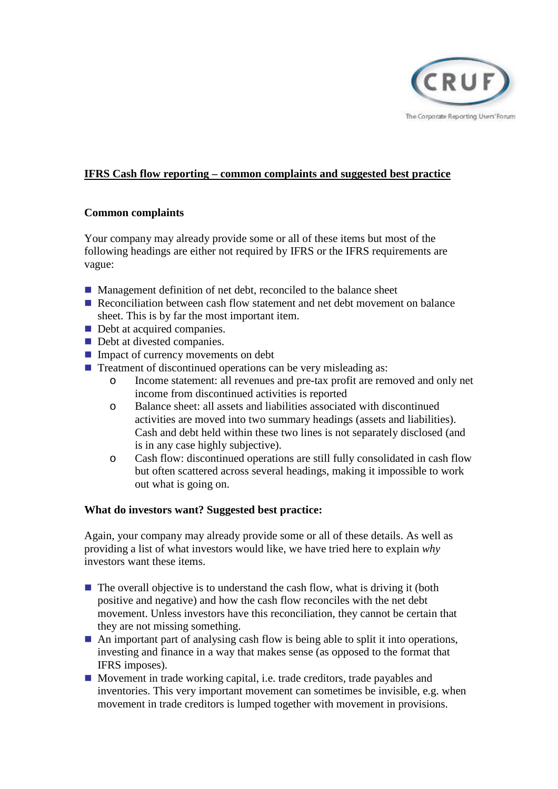

# **IFRS Cash flow reporting – common complaints and suggested best practice**

## **Common complaints**

Your company may already provide some or all of these items but most of the following headings are either not required by IFRS or the IFRS requirements are vague:

- Management definition of net debt, reconciled to the balance sheet
- Reconciliation between cash flow statement and net debt movement on balance sheet. This is by far the most important item.
- Debt at acquired companies.
- Debt at divested companies.
- Impact of currency movements on debt
- $\blacksquare$  Treatment of discontinued operations can be very misleading as:
	- o Income statement: all revenues and pre-tax profit are removed and only net income from discontinued activities is reported
	- o Balance sheet: all assets and liabilities associated with discontinued activities are moved into two summary headings (assets and liabilities). Cash and debt held within these two lines is not separately disclosed (and is in any case highly subjective).
	- o Cash flow: discontinued operations are still fully consolidated in cash flow but often scattered across several headings, making it impossible to work out what is going on.

### **What do investors want? Suggested best practice:**

Again, your company may already provide some or all of these details. As well as providing a list of what investors would like, we have tried here to explain *why* investors want these items.

- $\blacksquare$  The overall objective is to understand the cash flow, what is driving it (both positive and negative) and how the cash flow reconciles with the net debt movement. Unless investors have this reconciliation, they cannot be certain that they are not missing something.
- $\blacksquare$  An important part of analysing cash flow is being able to split it into operations, investing and finance in a way that makes sense (as opposed to the format that IFRS imposes).
- Movement in trade working capital, i.e. trade creditors, trade payables and inventories. This very important movement can sometimes be invisible, e.g. when movement in trade creditors is lumped together with movement in provisions.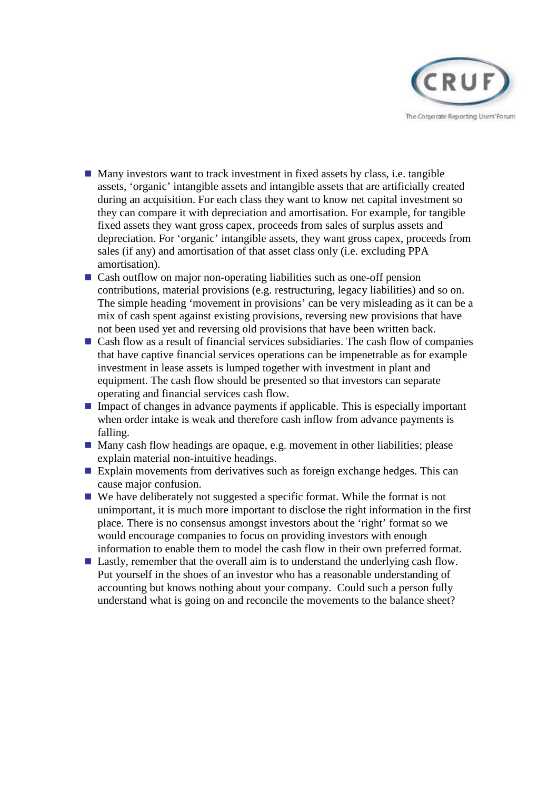

- $\blacksquare$  Many investors want to track investment in fixed assets by class, i.e. tangible assets, 'organic' intangible assets and intangible assets that are artificially created during an acquisition. For each class they want to know net capital investment so they can compare it with depreciation and amortisation. For example, for tangible fixed assets they want gross capex, proceeds from sales of surplus assets and depreciation. For 'organic' intangible assets, they want gross capex, proceeds from sales (if any) and amortisation of that asset class only (i.e. excluding PPA amortisation).
- Cash outflow on major non-operating liabilities such as one-off pension contributions, material provisions (e.g. restructuring, legacy liabilities) and so on. The simple heading 'movement in provisions' can be very misleading as it can be a mix of cash spent against existing provisions, reversing new provisions that have not been used yet and reversing old provisions that have been written back.
- $\blacksquare$  Cash flow as a result of financial services subsidiaries. The cash flow of companies that have captive financial services operations can be impenetrable as for example investment in lease assets is lumped together with investment in plant and equipment. The cash flow should be presented so that investors can separate operating and financial services cash flow.
- Impact of changes in advance payments if applicable. This is especially important when order intake is weak and therefore cash inflow from advance payments is falling.
- Many cash flow headings are opaque, e.g. movement in other liabilities; please explain material non-intuitive headings.
- Explain movements from derivatives such as foreign exchange hedges. This can cause major confusion.
- We have deliberately not suggested a specific format. While the format is not unimportant, it is much more important to disclose the right information in the first place. There is no consensus amongst investors about the 'right' format so we would encourage companies to focus on providing investors with enough information to enable them to model the cash flow in their own preferred format.
- Lastly, remember that the overall aim is to understand the underlying cash flow. Put yourself in the shoes of an investor who has a reasonable understanding of accounting but knows nothing about your company. Could such a person fully understand what is going on and reconcile the movements to the balance sheet?